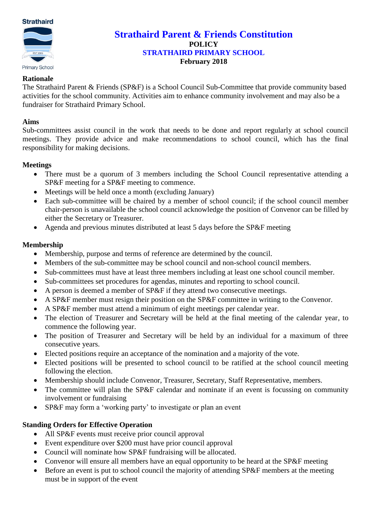

# **Strathaird Parent & Friends Constitution POLICY STRATHAIRD PRIMARY SCHOOL February 2018**

#### **Rationale**

The Strathaird Parent & Friends (SP&F) is a School Council Sub-Committee that provide community based activities for the school community. Activities aim to enhance community involvement and may also be a fundraiser for Strathaird Primary School.

#### **Aims**

Sub-committees assist council in the work that needs to be done and report regularly at school council meetings. They provide advice and make recommendations to school council, which has the final responsibility for making decisions.

#### **Meetings**

- There must be a quorum of 3 members including the School Council representative attending a SP&F meeting for a SP&F meeting to commence.
- Meetings will be held once a month (excluding January)
- Each sub-committee will be chaired by a member of school council; if the school council member chair-person is unavailable the school council acknowledge the position of Convenor can be filled by either the Secretary or Treasurer.
- Agenda and previous minutes distributed at least 5 days before the SP&F meeting

## **Membership**

- Membership, purpose and terms of reference are determined by the council.
- Members of the sub-committee may be school council and non-school council members.
- Sub-committees must have at least three members including at least one school council member.
- Sub-committees set procedures for agendas, minutes and reporting to school council.
- A person is deemed a member of SP&F if they attend two consecutive meetings.
- A SP&F member must resign their position on the SP&F committee in writing to the Convenor.
- A SP&F member must attend a minimum of eight meetings per calendar year.
- The election of Treasurer and Secretary will be held at the final meeting of the calendar year, to commence the following year.
- The position of Treasurer and Secretary will be held by an individual for a maximum of three consecutive years.
- Elected positions require an acceptance of the nomination and a majority of the vote.
- Elected positions will be presented to school council to be ratified at the school council meeting following the election.
- Membership should include Convenor, Treasurer, Secretary, Staff Representative, members.
- The committee will plan the SP&F calendar and nominate if an event is focussing on community involvement or fundraising
- SP&F may form a 'working party' to investigate or plan an event

## **Standing Orders for Effective Operation**

- All SP&F events must receive prior council approval
- Event expenditure over \$200 must have prior council approval
- Council will nominate how SP&F fundraising will be allocated.
- Convenor will ensure all members have an equal opportunity to be heard at the SP&F meeting
- Before an event is put to school council the majority of attending SP&F members at the meeting must be in support of the event